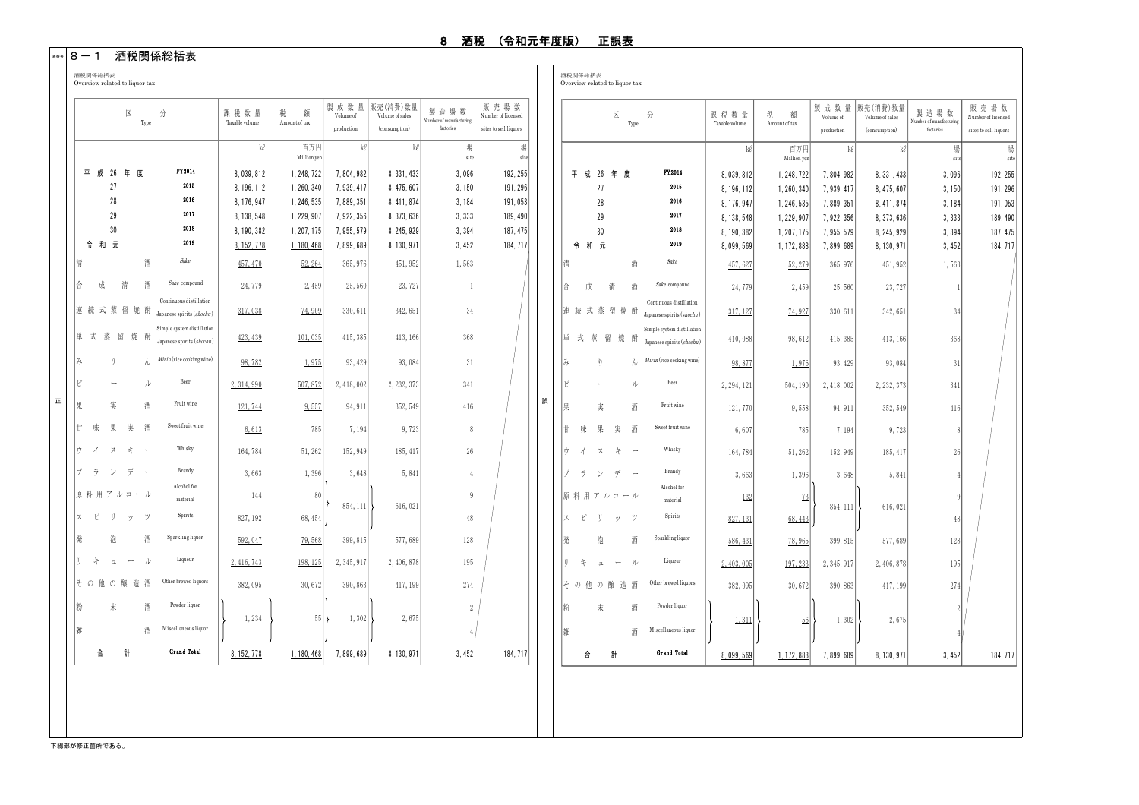#### \*\*\*│8 ― 1 酒税関係総括表

|      |                |               | 区                         | Type | 分                                                       | 課税数量<br>Taxable volume | 税<br>額<br>Amount of tax  | 製成数量<br>Volume of<br>production | 販売(消費)数量<br>Volume of sales | 製造場数<br>Number of manufacturing<br>factories | 販売場数<br>Number of licensed |   |    |     | 区               | Type                          | 分                                                       | 課税数量<br>Taxable volume   | 税<br>額<br>Amount of tax  | 製成数量<br>Volume of      | 販売(消費)数量<br>Volume of sales | 製造場数<br>Number of manufacturing | 販売場数<br>Number of licensed |
|------|----------------|---------------|---------------------------|------|---------------------------------------------------------|------------------------|--------------------------|---------------------------------|-----------------------------|----------------------------------------------|----------------------------|---|----|-----|-----------------|-------------------------------|---------------------------------------------------------|--------------------------|--------------------------|------------------------|-----------------------------|---------------------------------|----------------------------|
|      |                |               |                           |      |                                                         | kl                     | 百万円                      | kel                             | (consumption)<br>kl l       | 場                                            | sites to sell liquors<br>場 |   |    |     |                 |                               |                                                         | ke                       | 百万円                      | production<br>kl       | (consumption)<br>kel        | factories<br>場                  | sites to sell liquors<br>場 |
|      |                |               |                           |      | FY2014                                                  |                        | Million yen              |                                 |                             | site                                         | sit                        |   |    |     |                 |                               |                                                         |                          | Million yen              |                        |                             | site                            | site                       |
|      |                |               | 平 成 26 年 度                |      | 2015                                                    | 8,039,812              | 1, 248, 722              | 7, 804, 982                     | 8, 331, 433                 | 3.096                                        | 192, 255                   |   |    |     | 平 成 26 年 度      |                               | FT2014<br>2015                                          | 8,039,812                | 1, 248, 722              | 7.804.982              | 8, 331, 433                 | 3,096                           | 192.255                    |
|      |                | 27<br>28      |                           |      | 2016                                                    | 8.196.112<br>8.176.947 | 1, 260, 340<br>1.246.535 | 7,939,417<br>7, 889, 351        | 8,475,607<br>8.411.874      | 3, 150<br>3.184                              | 191, 296<br>191.053        |   |    |     | 27<br>28        |                               | 2016                                                    | 8, 196, 112<br>8.176.947 | 1, 260, 340<br>1.246.535 | 7.939.417<br>7.889.351 | 8, 475, 607<br>8.411.874    | 3, 150<br>3.184                 | 191, 296<br>191.053        |
|      |                | 29            |                           |      | 2017                                                    | 8.138.548              | 1.229.907                | 7.922.356                       | 8, 373, 636                 | 3.333                                        | 189.490                    |   |    |     | 29              |                               | 2017                                                    | 8, 138, 548              | 1, 229, 907              | 7.922.356              | 8.373.636                   | 3,333                           | 189.490                    |
|      |                | 30            |                           |      | 2018                                                    | 8.190.382              | 1, 207, 175              | 7, 955, 579                     | 8, 245, 929                 | 3,394                                        | 187, 475                   |   |    |     | 30              |                               | 2018                                                    | 8.190.382                | 1.207.175                | 7.955.579              | 8.245.929                   | 3.394                           | 187.475                    |
|      | 令和元            |               |                           |      | 2019                                                    | 8.152.778              | 1.180.468                | 7.899.689                       | 8.130.971                   | 3.452                                        | 184, 717                   |   |    | 令和元 |                 |                               | 2019                                                    | 8,099,569                | 1, 172, 888              | 7,899,689              | 8, 130, 971                 | 3,452                           | 184.717                    |
| 凊    |                |               |                           | 酒    | Sake                                                    | 457, 470               | 52, 264                  | 365, 976                        | 451, 952                    | 1,563                                        |                            |   | 清  |     |                 | 酒                             | Sake                                                    | 457, 627                 | 52, 279                  | 365, 976               | 451, 952                    | 1,563                           |                            |
| IA.  | 成              |               | 清                         | 酒    | Sake compound                                           | 24,779                 | 2,459                    | 25,560                          | 23, 727                     | -11                                          |                            |   | ₳  | 成   | 清               | 酒                             | Sake compound                                           | 24,779                   | 2,459                    | 25,560                 | 23, 727                     | $\lceil$                        |                            |
|      |                |               | 連続式蒸留焼酎                   |      | Continuous distillation<br>Japanese spirits (shochu)    | 317.038                | 74.909                   | 330, 611                        | 342,651                     | 34                                           |                            |   |    |     | 連続式蒸留焼酎         |                               | Continuous distillation<br>Japanese spirits (shochu)    | 317, 127                 | 74.927                   | 330.611                | 342,651                     | 34                              |                            |
|      |                |               | 単式蒸留焼酎                    |      | Simple system distillation<br>Japanese spirits (shochu) | 423.439                | 101,035                  | 415, 385                        | 413, 166                    | 368                                          |                            |   |    |     | 単式蒸留焼酎          |                               | Simple system distillation<br>Japanese spirits (shochu) | 410,088                  | 98,612                   | 415, 385               | 413, 166                    | 368                             |                            |
| 12   |                | $\eta$        |                           |      | Mirin (rice cooking wine)                               | 98,782                 | 1,975                    | 93, 429                         | 93,084                      | 31                                           |                            |   | 74 |     | ŋ               |                               | Mirin (rice cooking wine)                               | 98.877                   | 1.976                    | 93, 429                | 93,084                      | 31                              |                            |
| Ρ    |                |               |                           |      | Beer                                                    | 2,314,990              | 507,872                  | 2, 418, 002                     | 2, 232, 373                 | 341                                          |                            |   |    |     |                 | ル                             | Beer                                                    | 2, 294, 121              | 504, 190                 | 2,418,002              | 2, 232, 373                 | 341                             |                            |
| 里    |                | 宝             |                           | 酒    | Fruit wine                                              | 121,744                | 9,557                    | 94, 911                         | 352, 549                    | 416                                          |                            | 誤 | 里  |     | 実               | 酒                             | Fruit wine                                              | 121,770                  | 9,558                    | 94, 911                | 352, 549                    | 416                             |                            |
| l th | 味              | 果             | 実                         | 酒    | Sweet fruit wine                                        | 6,613                  | 785                      | 7,194                           | 9,723                       | 8                                            |                            |   | #  | 味   | 果               | 実<br>酒                        | Sweet fruit wine                                        | 6,607                    | 785                      | 7,194                  | 9,723                       | 8                               |                            |
| ウ    | $\overline{A}$ | スキ            |                           |      | Whisky                                                  | 164,784                | 51,262                   | 152,949                         | 185, 417                    | 26                                           |                            |   | ゖ  | 4   | ス               | キ<br>$\overline{\phantom{a}}$ | Whisky                                                  | 164,784                  | 51,262                   | 152,949                | 185, 417                    | 26                              |                            |
| ブ    | ラ              | $\gamma$      | $\widetilde{\mathcal{T}}$ |      | Brandy                                                  | 3.663                  | 1,396                    | 3.648                           | 5,841                       | $\frac{1}{2}$                                |                            |   | ゴ  |     | ランデ             | $\sim$                        | Brandy                                                  | 3,663                    | 1,396                    | 3,648                  | 5,841                       | 4 <sup>1</sup>                  |                            |
|      |                |               | 原料用アルコール                  |      | Alcohol for<br>material                                 | 144                    | 80                       | 854, 111                        | 616,021                     | $\overline{9}$                               |                            |   |    |     | 原 料 用 ア ル コ ー ル |                               | Alcohol for<br>material                                 | 132                      | 73                       | 854, 111               | 616, 021                    | 9                               |                            |
| スー   | ピ              | IJ            | ッ                         | ッ    | Spirits                                                 | 827, 192               | 68, 454                  |                                 |                             | 48                                           |                            |   | ス  | ピ   | IJ              | ッ<br>$\gamma$                 | Spirits                                                 | 827.131                  | 68.443                   |                        |                             | 48                              |                            |
| 発    |                | 洵             |                           | 酒    | Sparkling liquor                                        | 592,047                | 79.568                   | 399, 815                        | 577,689                     | 128                                          |                            |   | 鍫  |     | 泡               | 酒                             | Sparkling liquor                                        | 586, 431                 | 78,965                   | 399, 815               | 577,689                     | 128                             |                            |
| U.   | 午              | $\mathbbm{Z}$ | $\sim$                    | - il | Liqueur                                                 | 2,416,743              | 198, 125                 | 2, 345, 917                     | 2,406,878                   | 195                                          |                            |   | H. | 午   | $\mathbbmss{1}$ | ル<br>$\sim$                   | Liqueur                                                 | 2, 403, 005              | 197, 233                 | 2, 345, 917            | 2, 406, 878                 | 195                             |                            |
|      |                |               | そ の 他 の 醸 造 酒             |      | Other brewed liquors                                    | 382,095                | 30,672                   | 390, 863                        | 417, 199                    | 274                                          |                            |   |    |     | その他の醸造酒         |                               | Other brewed liquors                                    | 382,095                  | 30,672                   | 390, 863               | 417, 199                    | 274                             |                            |
| 粉    |                | 末             |                           | 酒    | Powder liquor                                           | 1,234                  | 55                       | 1,302                           | 2,675                       | $\overline{2}$                               |                            |   | 粉  |     | $\pm$           | 洒                             | Powder liquor                                           |                          | 56                       | 1,302                  | 2,675                       | -2                              |                            |
| 雑    |                |               |                           | 洒    | Miscellaneous liquor                                    |                        |                          |                                 |                             |                                              |                            |   | 雑  |     |                 | 洒                             | Miscellaneous liquor                                    | 1,311                    |                          |                        |                             |                                 |                            |
|      | 合              |               | 計                         |      | Grand Total                                             | 8, 152, 778            | 1.180.468                | 7,899,689                       | 8.130.971                   | 3.452                                        | 184, 717                   |   |    | 合   | 計               |                               | Grand Total                                             | 8.099.569                | 1.172.888                | 7,899,689              | 8, 130, 971                 | 3,452                           | 184, 717                   |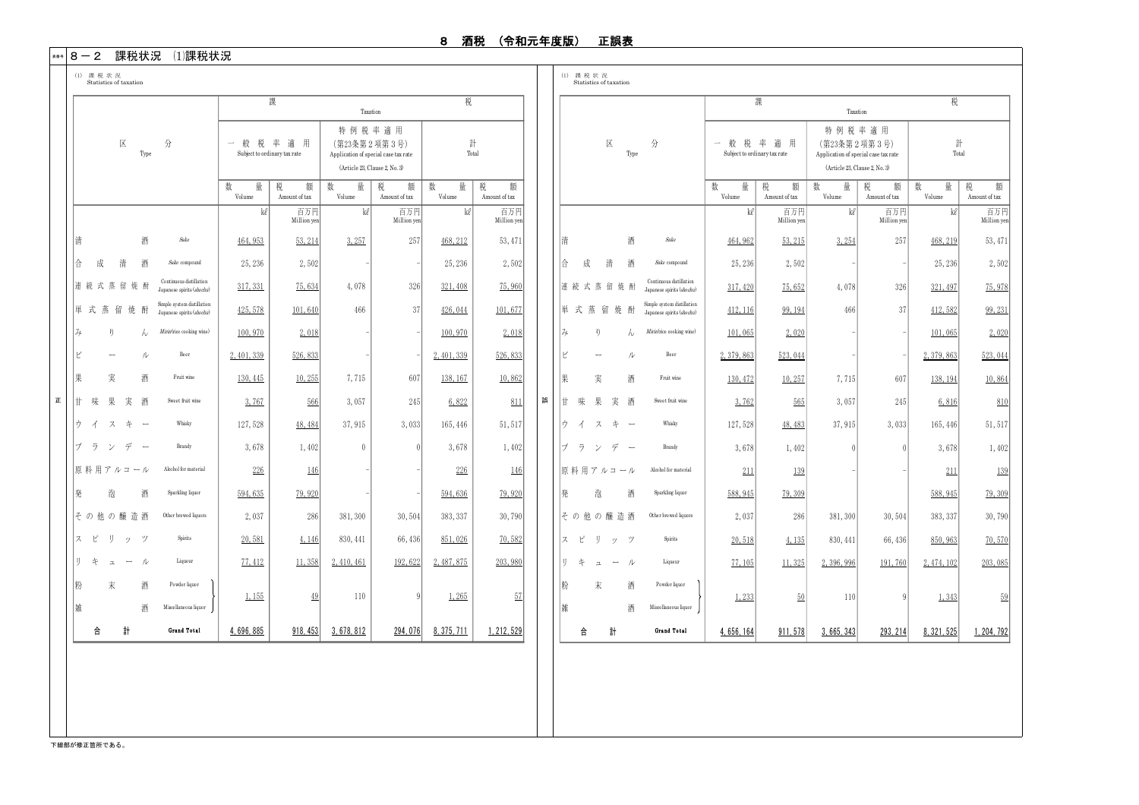#### \*\*\*│8 ― 2 課税状況 ⑴課税状況

|               |                               |                          |                                                         |                                        | 課                       | Taxation                                                                                        |                         | 税                |                         |   |        |   |                          |           |                                                         |                                        | 課                       | Taxation                                                                                        |                         | 税                |                         |
|---------------|-------------------------------|--------------------------|---------------------------------------------------------|----------------------------------------|-------------------------|-------------------------------------------------------------------------------------------------|-------------------------|------------------|-------------------------|---|--------|---|--------------------------|-----------|---------------------------------------------------------|----------------------------------------|-------------------------|-------------------------------------------------------------------------------------------------|-------------------------|------------------|-------------------------|
|               | 区                             | Type                     | 分                                                       | 一般税率適用<br>Subject to ordinary tax rate |                         | 特例税率適用<br>(第23条第2項第3号)<br>Application of special case tax rate<br>(Article 23, Clause 2, No. 3) |                         | 計<br>Total       |                         |   |        |   | 区                        | Type      | 分                                                       | 一般税率適用<br>Subject to ordinary tax rate |                         | 特例税率適用<br>(第23条第2項第3号)<br>Application of special case tax rate<br>(Article 23, Clause 2, No. 3) |                         | 計<br>Total       |                         |
|               |                               |                          |                                                         | 数<br>量<br>Volume                       | 税<br>額<br>Amount of tax | 数<br>量<br>Volume                                                                                | 額<br>税<br>Amount of tax | 数<br>量<br>Volume | 税<br>額<br>Amount of tax |   |        |   |                          |           |                                                         | 数<br>量<br>Volume                       | 税<br>額<br>Amount of tax | 量<br>数<br>Volume                                                                                | 税<br>額<br>Amount of tax | 量<br>数<br>Volume | 額<br>税<br>Amount of tax |
|               |                               |                          |                                                         | kl                                     | 百万円<br>Million yer      | kl                                                                                              | 百万円<br>Million yen      | kl               | 百万円<br>Million yen      |   |        |   |                          |           |                                                         | kl                                     | 百万円<br>Million yen      | kl                                                                                              | 百万円<br>Million yen      | kl               | 百万円<br>Million yen      |
|               | 凊                             | 酒                        | Sake                                                    | 464, 953                               | 53, 214                 | 3,257                                                                                           | 257                     | 468, 212         | 53, 471                 |   | 情      |   |                          | 酒         | Sake                                                    | 464, 962                               | 53, 215                 | 3,254                                                                                           | 257                     | 468, 219         | 53, 471                 |
|               | A.<br>成<br>清                  | 酒                        | Sake compound                                           | 25, 236                                | 2,502                   |                                                                                                 |                         | 25, 236          | 2.502                   |   | 슈      | 成 | 清                        | 酒         | Sake compound                                           | 25, 236                                | 2.502                   |                                                                                                 |                         | 25, 236          | 2.502                   |
|               | 連続式蒸留焼酎                       |                          | Continuous distillation<br>Japanese spirits (shochu)    | 317, 331                               | 75.634                  | 4,078                                                                                           | 326                     | 321, 408         | 75,960                  |   |        |   | 連続式蒸留焼酎                  |           | Continuous distillation<br>Japanese spirits (shochu)    | 317, 420                               | 75.652                  | 4.078                                                                                           | 326                     | 321, 497         | 75, 978                 |
|               | 単式蒸留焼酎                        |                          | Simple system distillation<br>Japanese spirits (shochu) | 425, 578                               | 101,640                 | 466                                                                                             | 37                      | 426,044          | 101,677                 |   |        |   | 単式蒸留焼酎                   |           | Simple system distillation<br>Japanese spirits (shochu) | 412, 116                               | 99, 194                 | 466                                                                                             | 37                      | 412,582          | 99, 231                 |
|               | み<br>ŋ                        | h.                       | Mirin(rice cooking wine)                                | 100,970                                | 2,018                   |                                                                                                 |                         | 100,970          | 2,018                   |   | み      |   | ŋ                        | $\lambda$ | Mirin(rice cooking wine)                                | 101,065                                | 2.020                   |                                                                                                 |                         | 101.065          | 2.020                   |
|               | Ľ<br>$\overline{\phantom{a}}$ | ル                        | Beer                                                    | 2.401.339                              | 526,833                 |                                                                                                 |                         | 2, 401, 339      | 526,833                 |   | Ľ      |   | $\overline{\phantom{a}}$ | ル         | Beer                                                    | 2, 379, 863                            | 523,044                 |                                                                                                 |                         | 2, 379, 863      | 523,044                 |
|               | 果<br>実                        | 酒                        | Fruit wine                                              | 130, 445                               | 10.255                  | 7,715                                                                                           | 607                     | 138, 167         | 10.862                  |   | 果      |   | 実                        | 酒         | Fruit wine                                              | 130, 472                               | 10,257                  | 7,715                                                                                           | 607                     | 138, 194         | 10,864                  |
| $\mathbbm{E}$ | 甘味果実酒                         |                          | Sweet fruit wine                                        | 3,767                                  | 566                     | 3,057                                                                                           | 245                     | 6,822            | 811                     | 誤 |        |   | 甘味果実酒                    |           | Sweet fruit wine                                        | 3.762                                  | 565                     | 3,057                                                                                           | 245                     | 6,816            | 810                     |
|               | ウイスキー                         |                          | Whisky                                                  | 127,528                                | 48, 484                 | 37,915                                                                                          | 3,033                   | 165, 446         | 51, 517                 |   |        |   | け イ ス キ ー                |           | Whisky                                                  | 127,528                                | 48, 483                 | 37, 915                                                                                         | 3.033                   | 165, 446         | 51, 517                 |
|               | げ ラ ン デ                       | $\overline{\phantom{a}}$ | Brandy                                                  | 3,678                                  | 1,402                   | $\theta$                                                                                        | $\sqrt{ }$              | 3,678            | 1,402                   |   |        |   | ブ ラ ン デ ー                |           | Brandy                                                  | 3,678                                  | 1,402                   | $\theta$                                                                                        |                         | 3,678            | 1,402                   |
|               | 原料用アルコール                      |                          | Alcohol for material                                    | 226                                    | 146                     |                                                                                                 |                         | 226              | 146                     |   |        |   | 原料用アルコール                 |           | Alcohol for material                                    | 211                                    | 139                     |                                                                                                 |                         | 211              | 139                     |
|               | 隆<br>泡                        | 酒                        | Sparkling liquor                                        | 594,635                                | 79.920                  |                                                                                                 |                         | 594,636          | 79.920                  |   | 「発     |   | 泡                        | 酒         | Sparkling liquor                                        | 588, 945                               | 79,309                  |                                                                                                 |                         | 588, 945         | 79,309                  |
|               | そ の 他 の 醸 造 酒                 |                          | Other brewed liquors                                    | 2,037                                  | 286                     | 381, 300                                                                                        | 30,504                  | 383, 337         | 30,790                  |   |        |   | そ の 他 の 醸 造 酒            |           | Other brewed liquors                                    | 2,037                                  | 286                     | 381, 300                                                                                        | 30,504                  | 383, 337         | 30,790                  |
|               | ス ピ<br>IJ<br>ッツ               |                          | Spirits                                                 | 20.581                                 | 4.146                   | 830, 441                                                                                        | 66,436                  | 851,026          | 70.582                  |   |        |   | スピリッツ                    |           | Spirits                                                 | 20.518                                 | 4,135                   | 830, 441                                                                                        | 66, 436                 | 850, 963         | 70.570                  |
|               | IJ<br>*<br>$\mathbbm{Z}$      | $ \nu$                   | Liqueur                                                 | 77, 412                                | 11,358                  | 2.410.461                                                                                       | 192,622                 | 2, 487, 875      | 203,980                 |   | l ij.  | 丰 | $\mathbbmss{1}$          | $ \nu$    | Liqueur                                                 | 77, 105                                | 11.325                  | 2.396.996                                                                                       | 191,760                 | 2, 474, 102      | 203,085                 |
|               | 粉<br>末<br>雑                   | 酒<br>酒                   | Powder liquor<br>Miscellaneous liquor                   | 1,155                                  | 49                      | 110                                                                                             | $\mathbf Q$             | 1,265            | 57                      |   | 粉<br>雑 |   | 末                        | 酒<br>酒    | Powder liquor<br>Miscellaneous liquor                   | 1,233                                  | 50                      | 110                                                                                             |                         | 1,343            | 59                      |
|               | 計<br>合                        |                          | Grand Total                                             | 4.696.885                              | 918.453                 | 3.678.812                                                                                       | 294.076                 | 8.375.711        | 1.212.529               |   |        | 合 | 計                        |           | Grand Total                                             | 4.656.164                              | 911.578                 | 3.665.343                                                                                       | 293.214                 | 8.321.525        | 1.204.792               |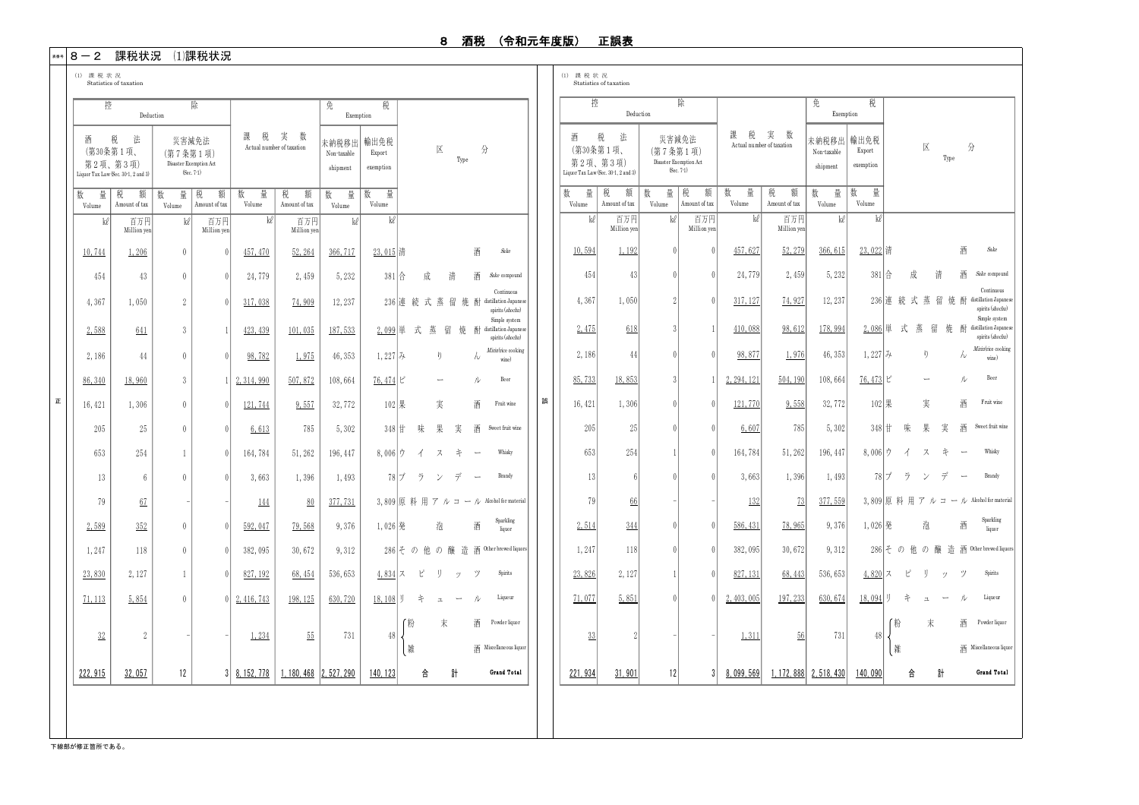Continuous distillation Japane spirits (shochu)

Type

Simple system

spirits (shochu)

Mirin(rice cooking wine)

> Sparkling liquor

#### \*\*\*│8 ― 2 課税状況 ⑴課税状況

| (1) 課税状況 | (1) 課税状況 |
|----------|----------|
|----------|----------|

 Statistics of taxation Statistics of taxation 正 誤 未納税移出 Non-taxable shipment 数 量 Volume 数 量 Volume 数 量 Volume ㎘ 百万円 ㎘ 百万円 百万円 ㎘  $\frac{10,744}{1}$  1,206 0 0 9  $\frac{457,470}{1}$  52,264 366,717 Sake 454 | 43 | 0 | 0 | 24,779 | 2,459 | 5,232 Sake compound 4, 367 1, 050 2 0 317, 038 74, 909 12, 237 Continuous distillation Japanes spirits (shochu) 2,588 641 3 1 423,439 101,035 187,533 Simple system  $\overrightarrow{p}$  distillation Japanes spirits (shochu) 2,186 | 44 | 0 | 0 | 98,782 | 1,975 | 46,353 Mirin(rice cookin wine) 86, 340 | 18, 960 | 3 | 1 | 2, 314, 990 | 507, 872 | 108, 664 Beer 16, 421 1.306 0 0 121, 744 9, 557 32, 772 Fruit wine 205 || 2.5 || 0.1 || 0.1 || 0.1 || 0.1 || 0.1 || 0.1 || 0.1 || 0.1 || 0.1 || 0.1 || 0.1 || 0.1 || 0.1 || 0.1 | Sweet fruit win 653 | 254 | 1 | 0| 164,784 | 51,262 | 196,447 | 8,006|ワ イ ス キ ー Whasty 13 || 6 || 0 || 0 || 3,663 || 1,396 || 1,493 **Brandy** 79 | 67 | - 1 144 | 80 | 377,731 67 | - | -| 144 | 80 | 377,731 | 3,809|原 科 用 ア ル コ ー ル Alcohol formaterial  $2,589$   $352$  0 0 592,047 79,568 9,376 Sparkling liquor 1, 247 | 118 | 0 | 0 | 382, 095 | 30, 672 | 9, 312 118 | 0| 0| 382,095 | 30,672 | 9,312 | 286|その他の醸造酒©cherbrewed-liquors  $\frac{23,830}{8}$  | 2,127 | 1 | 0 |  $\frac{827,192}{8}$  |  $\frac{68,454}{8}$  | 536,653 Spirits  $71,113$  5,854 0 0 2,416,743 198,125 630,720 Liqueur 粉 末 酒 Powder liquor 雑 酒 Miscellaneous liquor 2<u>22,915</u> | 3<u>2,057</u> | 12 | 3|<u>8,152,778 | 1,180,468 |2,527,290 | 140,123</u> | 合 計 Grand Total 区 分 Type 酒 税 法 (第30条第1項、 第2項、第3項) Liquor Tax Law (Sec. 30-1, 2 and 3) 災害減免法 (第7条第1項) Disaster Exemption Act (Sec. 7-1) 輸出免税 Export exemption 税 額 Amount of tax 税 額 Amount of tax 数 量 Volume 税 額 Amount of tax 数 量 Volume ke 百万円 ke ke Million yen Million yen Million yen ことに 控 ついて アメリカ しょくしょう 除く しょうかい 除く しょうかい Deduction 課 税 実 数 Actual number of taxation 免 税 Exemption 1,206 | 0| 0| 1<u>57,470 | 52,264 | 366,717 | 23,015</u> |清 酒 43 | 0 | 0 | 24,779 | 2,459 || 5,232 || 381 ||合 成 清 酒 236 連続式蒸留焼酎 2,099 単 式 蒸 留 焼 44 | 0 | 0 | 98,782 | 1,975 || 46,353 || 1,227 ||み り ん 18,960 | 3 | 1 | 2,314,990 | 507,872 | 108,664 | 76,474 | ビ ー ル 1,306 | 0 | 0 | 1<u>21,744</u> | <u>9,557</u> | 32,772 | 102 |果 実 酒 25 0 0 6.613 785 5.302 348 甘 味 果 実 酒 6 0 0 3,663 1,396 1,493 78 ブランデ 352 | 0| 0| 592,047 | 79,568 | 9,376 | 1,026|発 泡 酒 2,127 827,192 68,454 4,834 ス ピ リ ッ ツ 18,108 リ キ ュ ー ル 32 | 2 | - | 1,234 | 55 | 731 || 48 未納税移出 Non-taxable shipment 数 量 Volume 数 量|柷 額 Volume 数 量 Volume ㎘ 百万円 ㎘ 百万円 百万円 ㎘ 10,594 1,192 0 0 457,627 52,279 366,615 23,022 清 酒 *Sake* 454 43 0 0 24,779 2,459 5,232 381 合 成 清 酒 *Sake* ompound 4, 367 1, 050 2 0 317, 127 74, 927 12, 237 2,475 3 1 178,994 distillation Japanese 618 410,088 98,612 2,086 単 式 蒸 留 焼 酎 2,186 | 44 | 0 | 98,877 | 1,976 | 46,353 85,733| 18,853| 3| 1|2,294,121| 504,190| 108,664| 76,473|ビ ー ル <sup>Beer</sup> 16,421 | 1,306| 0| 0| 121,770| 9,558| 32,772| 102|果 実 酒 Fruit wine 2.05| 2.5| 0| 0| 6,607| 785| 5,302| 3.48|甘 味 果 実 酒 <sup>Sweet fruit wine</sup> 653 | 254 | 1 | 0 |164,784 | 51,262 |196,447 | 8,006 |ウ イ ス キ ー Whisky 13| 6| 0| 0| 3,663| 1,396| 1,493| 78|ブ フ ン デ ー Brandy 79| 66| -| -| 132| 73| 377,559| 3,809|原 科 用 ア ル コ ー ル Alcohol formaterial 2,514 0 0 9,376 1,247| 118| 0.1erbrewed.liquors 0| 382,095| 30,672| 9,312| 286|その他の醸造酒otherbrewed.liquors 23,826| 2,127| 1| 0| 827,131| 68,443| 536,653| 4,820|ス ビ リ ッ ツ <sup>spirits</sup> 71,077| 5,851| 0| 0|2,403,005| 197,233| 630,674| 18,094|リ キ ュ ー ル Liqueur 粉 天 酒 Powder.liquor 雑 酒 Miscellaneous hquor 2<u>21,934| 31,901</u>| I2| 3|<u>8,099,569||.1/2,888|2,518,430||140,090</u>| 合 計 Grand Total 区 分 酒 税 法 (第30条第1項、 第2項、第3項) Liquor Tax Law (Sec. 30-1, 2 and 3) 災害減免法 (第7条第1項) Disaster Exemption Act (Sec. 7-1) 輸出免税 Export exemptio 税 額 Amount of tax Amount of tax 数 量 Volume 税 額 Amount of tax 数 量 Volume  $k\ell$  百万円  $k\ell$  k Million yen Million yen 控 あいかい しんしゃ 除く しょうかん しょうかん しょうかん しょうかん しょうかん しょうかん しょうかん しょうかん しょうかん しょうかん しょうかん しょうかん しゅうしょく しょうしょう Deduction 課 税 実 数 Actual number of taxation 免 税 Exemption 1,192 0 | 0 | 457,627 | 52,279 | 366,615 | 23,022 |清 酒 43 | 0 | 24,779 | 2,459 | 5,232 | 381 |合 成 清 酒 236 連続式蒸留焼酎 44 0 0 98,877 1,976 46,353 1,227 み り ん 18,853 | 3 | 1 | 2,294,121 | 504,190 | 108,664 | 76,473 | ビ ー ル 1,306| 0| 0| 121,770| 9,558| 32,772| 102|果 実 酒 344| 0| 0| 586,431| 78,965| 9,376| 1,026|発 泡 酒 5,851 | 0| 0| 2,403,005 | 197,233 | 630,674 | 18,094 |リ キ ュ ー ル  $\frac{33}{1}$  2 - - 1  $\frac{1,311}{1}$  56 731 48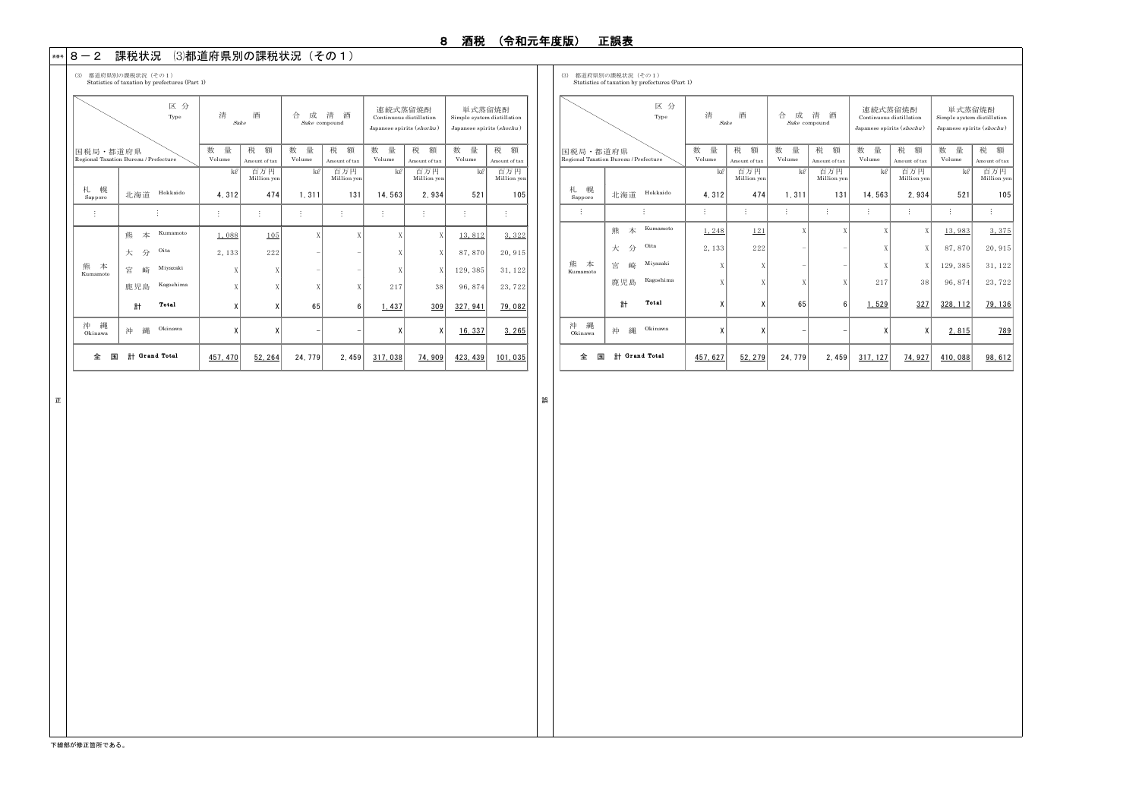#### \*\*\* | 8 一2 課税状況 (3)都道府県別の課税状況(その1)

(3) 都道府県別の課税状況(その1) (3) 都道府県別の課税状況(その1) Statistics of taxation by prefectures (Part 1) Statistics of taxation by prefectures (Part 1)

|                    |                                       | 区分<br>Type | 酒<br>漕<br>合<br>清<br>酒<br>成<br>Sake<br>Sake compound |                         |                  |                         | 連続式蒸留焼酎<br>Continuous distillation<br>Japanese spirits (shochu) |                         | 単式蒸留焼酎<br>Simple system distillation<br>Japanese spirits (shochu) |                         |  |
|--------------------|---------------------------------------|------------|-----------------------------------------------------|-------------------------|------------------|-------------------------|-----------------------------------------------------------------|-------------------------|-------------------------------------------------------------------|-------------------------|--|
| 国税局・都道府県           | Regional Taxation Bureau / Prefecture |            | 数<br>量<br>Volume                                    | 税<br>額<br>Amount of tax | 数<br>量<br>Volume | 税<br>額<br>Amount of tax | 数<br>量<br>Volume                                                | 税<br>額<br>Amount of tax | 数<br>量<br>Volume                                                  | 税<br>額<br>Amount of tax |  |
|                    |                                       |            | ke                                                  | 百万円<br>Million yen      | ke               | 百万円<br>Million yen      | ke                                                              | 百万円<br>Million yen      | ke                                                                | 百万円<br>Million yen      |  |
| 幌<br>札<br>Sapporo  | 北海道                                   | Hokkaido   | 4,312                                               | 474                     | 1,311            | 131                     | 14,563                                                          | 2.934                   | 521                                                               | 105                     |  |
| ÷                  |                                       |            |                                                     | ŧ                       | İ                | ŧ                       | ÷                                                               |                         | İ                                                                 |                         |  |
|                    | 龍<br>本                                | Kumamoto   | 1.088                                               | 105                     | X                | X                       | X                                                               | X                       | 13,812                                                            | 3.322                   |  |
|                    | Oita<br>分<br>大                        |            | 2.133                                               | 222                     |                  |                         | X                                                               | X                       | 87,870                                                            | 20, 915                 |  |
| 龍<br>本<br>Kumamoto | 崎<br>宮                                | Miyazaki   | Χ                                                   | X                       |                  |                         | X                                                               | X                       | 129, 385                                                          | 31, 122                 |  |
|                    | 鹿児島                                   | Kagoshima  | X                                                   | X                       | X                | X                       | 217                                                             | 38                      | 96, 874                                                           | 23,722                  |  |
|                    | Total<br>計                            |            | χ                                                   | χ                       | 65               | 6                       | 1.437                                                           | 309                     | 327.941                                                           | 79.082                  |  |
| 縄<br>沖<br>Okinawa  | 縄<br>沖                                | Okinawa    | X                                                   | X                       |                  | -                       | X                                                               | X                       | 16.337                                                            | 3.265                   |  |
| 全<br>国             | 計 Grand Total                         |            | 457.470                                             | 52.264                  | 24.779           | 2.459                   | 317.038                                                         | 74.909                  | 423.439                                                           | 101.035                 |  |

|                    | 区分<br>Type                            | 漕<br>Sake        | 酒                  | 合<br>成           | 清<br>酒<br>Sake compound | 連続式蒸留焼酎<br>Continuous distillation<br>Japanese spirits (shochu) |                    | 単式蒸留焼酎<br>Simple system distillation<br>Japanese spirits (shochu) |                    |  |
|--------------------|---------------------------------------|------------------|--------------------|------------------|-------------------------|-----------------------------------------------------------------|--------------------|-------------------------------------------------------------------|--------------------|--|
| 国税局·都道府県           | Regional Taxation Bureau / Prefecture | 数<br>量<br>Volume | 税<br>額             | 数<br>量<br>Volume | 税<br>額<br>Amount of tax | 数<br>量<br>Volume                                                | 税<br>額             | 数<br>量<br>Volume                                                  | 税<br>額             |  |
|                    |                                       |                  | Amount of tax      | ke               |                         |                                                                 | Amount of tax      |                                                                   | Amount of tax      |  |
|                    |                                       | ke               | 百万円<br>Million yen |                  | 百万円<br>Million yen      | ke                                                              | 百万円<br>Million yen | ke                                                                | 百万円<br>Million yen |  |
| 札<br>幌<br>Sapporo  | Hokkaido<br>北海道                       | 4.312            | 474                | 1,311            | 131                     | 14,563                                                          | 2.934              | 521                                                               | 105                |  |
|                    |                                       |                  | İ                  |                  |                         | İ                                                               | ÷                  |                                                                   | ŧ                  |  |
|                    | Kumamoto<br>熊<br>本                    | 1,248            | 121                | X                | X                       | X                                                               | X                  | 13,983                                                            | 3,375              |  |
|                    | Oita<br>分<br>大                        | 2.133            | 222                | ۰                | ۰                       | X                                                               | X                  | 87,870                                                            | 20.915             |  |
| 熊<br>本<br>Kumamoto | Miyazaki<br>崎<br>宮                    | X                | X                  |                  |                         | X                                                               | X                  | 129, 385                                                          | 31, 122            |  |
|                    | Kagoshima<br>鹿児島                      | Χ                | X                  | X                | Χ                       | 217                                                             | 38                 | 96, 874                                                           | 23,722             |  |
|                    | Total<br>計                            | χ                | X                  | 65               | 6                       | 1.529                                                           | 327                | 328.112                                                           | 79.136             |  |
| 縄<br>沖<br>Okinawa  | Okinawa<br>縄<br>沖                     | χ                | X                  |                  |                         | χ                                                               | χ                  | 2.815                                                             | 789                |  |
| 全<br>国             | Grand Total<br>計                      | 457.627          | 52.279             | 24, 779          | 2.459                   | 317.127                                                         | 74.927             | 410.088                                                           | 98.612             |  |

正 まいしょう しょうしょう しょうしょう しょうしょう しょうしょう しょうしょう しゅうしょう しゅうしゅう しゅうしょう しゅうしょう しゅうしょく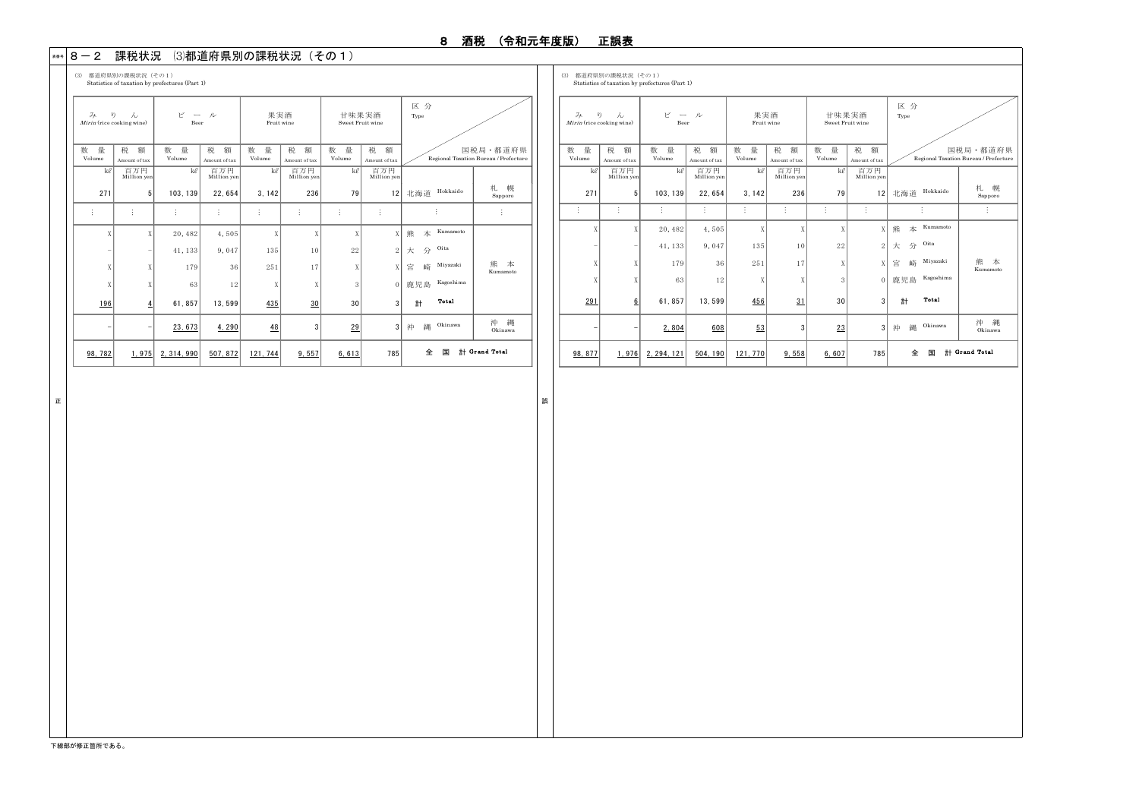### \*\*\* | 8 一2 課税状況 (3)都道府県別の課税状況(その1)

(3) 都道府県別の課税状況(その1) (3) 都道府県別の課税状況(その1) Statistics of taxation by prefectures (Part 1) Statistics of taxation by prefectures (Part 1) 数 量 税 額 数 量 税 額 数 量 税 額 数 量 税 額 Volume Amount of tax Volume Amount of tax Volume Amount of tax Volume Amount of tax ㎘ 百万円 ㎘ 百万円 ㎘ 百万円 ㎘ 百万円 Million yen Million yen Million yen Million yen 271 5 103,139 22,654 3,142 236 79 12 北海道 Hokkaido 札<br>Sapporo … … … … … … … … … X X 20,482 4,505 X X X X 熊 本 Kumamoto 41, 133 9, 047 135 10 22  $2 \times 3$  Oita 179 36 251 17  $X$   $X$  宮 崎 Miyazaki  $X$  63 12  $X$   $X$   $X$   $3$  0 鹿児島 Kagoshima 196 4 61,857 13,599  $\frac{435}{\phantom{1}30}$  30 3  $\frac{1}{\phantom{1}31}$  Total  $\begin{array}{|c|c|c|c|c|c|c|c|c|} \hline 23.673 & 4.290 & 48 & 3 & 29 & 3 \# & 30 & 30 & 38 \ \hline \end{array}$ 沖 縄<br>Okinawa 98,782 1,975 2,314,990 507,872 121,744 9,557 6,613 785 全 国 計 Gr and Total  $\mathbb{R}^n$ 熊 本 Kumamoto  $\quad \begin{array}{ccc} \swarrow & \multimap & \mathcal{V} \\ & \multicolumn{3}{c}{} & \multicolumn{3}{c}{} & \end{array}$  <br> Beer 果実酒 Fruit wine 甘味果実酒 Sweet Fruit wine 区 分 Type 国税局・都道府県 Regional Taxation Bureau / Prefecture  $\frac{f}{f}$  (rice cooking wine)

|                                                          | Statistics of taxation by prefectures (Fart 1) |             |                    |                   |                    |                           |                    |                    |                                       |  |  |  |  |  |
|----------------------------------------------------------|------------------------------------------------|-------------|--------------------|-------------------|--------------------|---------------------------|--------------------|--------------------|---------------------------------------|--|--|--|--|--|
| $\mathcal{Z}_{\mathcal{F}}$<br>Mirin (rice cooking wine) | V)<br>$\lambda$                                | R<br>Beer   | ル                  | 果実酒<br>Fruit wine |                    | 甘味果実酒<br>Sweet Fruit wine |                    | 区分<br>Type         |                                       |  |  |  |  |  |
| 量<br>数                                                   | 税<br>額                                         | 量<br>数      | 税<br>額             | 数<br>量            | 税<br>額             | 数<br>量                    | 税<br>額             |                    | 国税局·都道府県                              |  |  |  |  |  |
| Volume                                                   | Amount of tax                                  | Volume      | Amount of tax      | Volume            | Amount of tax      | Volume                    | Amount of tax      |                    | Regional Taxation Bureau / Prefecture |  |  |  |  |  |
| ke                                                       | 百万円<br>Million yen                             | ke          | 百万円<br>Million yen | ke                | 百万円<br>Million yen | ke                        | 百万円<br>Million yen |                    |                                       |  |  |  |  |  |
| 271                                                      | 5                                              | 103, 139    | 22,654             | 3.142             | 236                | 79                        | 12                 | Hokkaido<br>北海道    | 幌<br>札<br>Sapporo                     |  |  |  |  |  |
| ÷                                                        | ŧ                                              | ŧ           | ŧ.                 | ŧ                 | İ                  | ŧ                         | $\vdots$           |                    | ŧ                                     |  |  |  |  |  |
| X                                                        | X                                              | 20, 482     | 4,505              | X                 | X                  | X                         | X                  | Kumamoto<br>本<br>熊 |                                       |  |  |  |  |  |
| -                                                        | $\overline{\phantom{a}}$                       | 41, 133     | 9.047              | 135               | 10                 | 22                        | $\overline{2}$     | Oita<br>分<br>大     |                                       |  |  |  |  |  |
| X                                                        | X                                              | 179         | 36                 | 251               | 17                 | X                         | X                  | Miyazaki<br>宮<br>崎 | 熊<br>本<br>Kumamoto                    |  |  |  |  |  |
| X                                                        | X                                              | 63          | 12                 | X                 | X                  | 3                         | $\theta$           | Kagoshima<br>鹿児島   |                                       |  |  |  |  |  |
| 291                                                      | $6\phantom{.}6$                                | 61,857      | 13,599             | 456               | 31                 | 30                        | 3                  | Total<br>計         |                                       |  |  |  |  |  |
| ٠                                                        | -                                              | 2.804       | 608                | 53                | 3                  | 23                        | 3                  | Okinawa<br>縄<br>沖  | 縄<br>沖<br>Okinawa                     |  |  |  |  |  |
| 98, 877                                                  | 1,976                                          | 2, 294, 121 | 504, 190           | 121, 770          | 9,558              | 6,607                     | 785                | 全<br>国             | # Grand Total                         |  |  |  |  |  |

正 | こうしょう こうしょう こうしょう こうしょう こうしょう こうしょう こうしょう こうしょう こうしょう こうしょう しょうしょう しょうしょう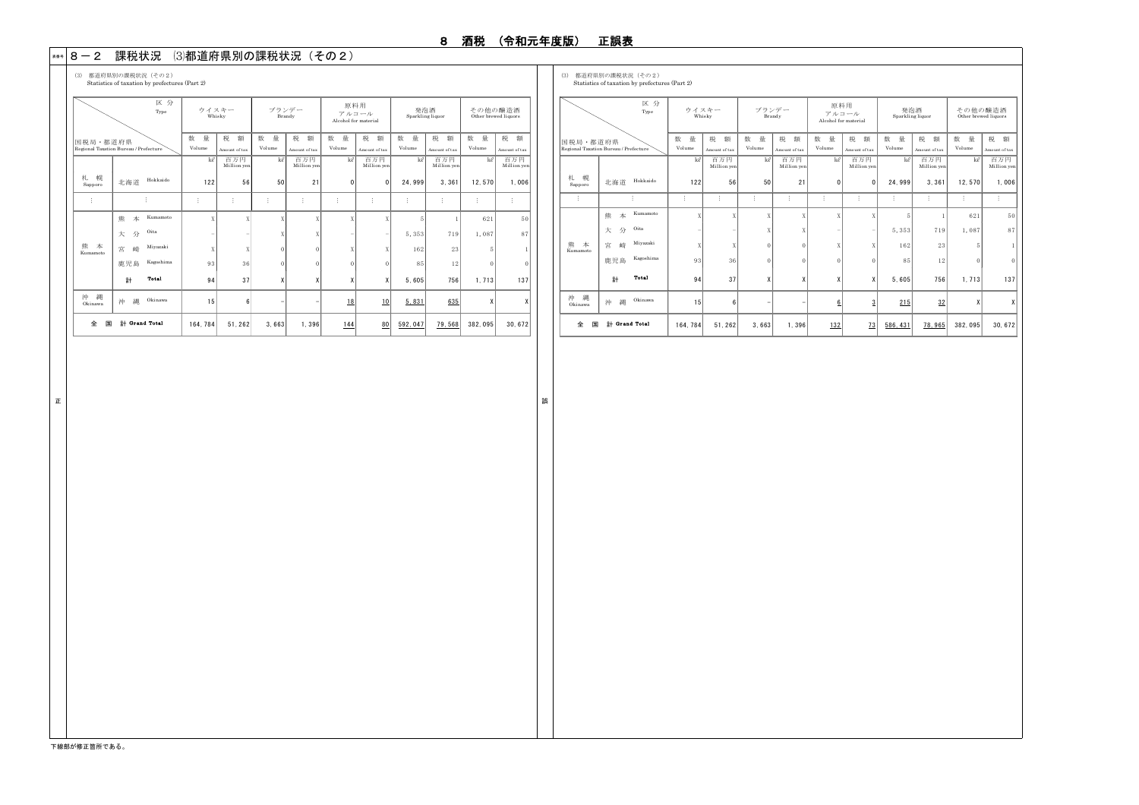#### \*\*\* | 8 一2 課税状況 (3)都道府県別の課税状況(その2)

(3) 都道府県別の課税状況(その2) (3) 都道府県別の課税状況(その2)

Statistics of taxation by prefectures (Part 2)

数 量 | 税 額 | 数 量 | 税 額 | 数 量 | 税 額 | 数 量 | 税 額 | 数 量 | 税 額 Volume Amount of tax Volume Amount of tax Volume Amount of tax Volume Amount of tax Volume Amount of tax ㎘ 百万円 ㎘ 百万円 ㎘ 百万円 ㎘ 百万円 ㎘ 百万円 Million yen Million yen Million yen Million yen Million yen 札 幌 Sapporo 北海道 Hokkaido 122 56 50 21 0 0 24,999 3,361 12,570 1,006 … … … … … … … … … … … 熊 本 Kumamoto  $X$  X X X X X 5 1 621 50 大 分 Oita - | X X - - 5,353 719 1,087 87 宮 崎 Miyazaki  $X$  X 0 0 X  $X$  162 23 5 1 鹿児島 Kagoshima 93 36 0 0 0 0 85 12 0 0  $\frac{1}{b}$  Total 94 37 X X X X 5,605 756 1,713 137 沖 縄 沖 縄 Okinawa 15 6 - 1 18 1<u>0 5.831</u> 6<u>35</u> X X 全 国 計 164,784 51,262 3,663 1,396 144 80 592,047 79,568 382,095 30,672  $\hat{\pm}$  国 計 Grand Total  $\mathbb{R}^2$ 熊 本 Kumamot 区 分 Type 国税局・都道府県 Regional Taxation Bureau / Prefecture ウイスキー Whisky ブランデー Brandy 原料用 アルコール Alcohol for material 発泡酒 Sparkling liquor その他の醸造酒 Other brewed liq

|                    | $p_{\text{r}}$ and $p_{\text{r}}$ and $p_{\text{r}}$ and $p_{\text{r}}$ and $p_{\text{r}}$ and $p_{\text{r}}$ |         |                    |          |                    |              |                               |                         |                    |                                 |                    |  |
|--------------------|---------------------------------------------------------------------------------------------------------------|---------|--------------------|----------|--------------------|--------------|-------------------------------|-------------------------|--------------------|---------------------------------|--------------------|--|
|                    | 区分<br>Type                                                                                                    |         | ウイスキー<br>Whisky    |          | ブランデー<br>Brandy    | 原料用          | アルコール<br>Alcohol for material | 発泡酒<br>Sparkling liquor |                    | その他の醸造酒<br>Other brewed liquors |                    |  |
| 国税局・都道府県           |                                                                                                               | 量<br>数  | 税<br>額             | 数<br>量   | 税<br>額             | 数<br>量       | 税<br>額                        | 数<br>量                  | 税<br>額             | 数<br>量                          | 税.<br>額            |  |
|                    | Regional Taxation Bureau / Prefecture                                                                         | Volume  | Amount of tax      | Volume   | Amount of tax      | Volume       | Amount of tax                 | Volume                  | Amount of tax      | Volume                          | Amount of tax      |  |
|                    |                                                                                                               | ke      | 百万円<br>Million yen | ke       | 百万円<br>Million yen | ke           | 百万円<br>Million yen            | ke                      | 百万円<br>Million yen | ke                              | 百万円<br>Million yen |  |
| 幌<br>札<br>Sapporo  | Hokkaido<br>北海道                                                                                               | 122     | 56                 | 50       | 21                 | $\mathbf{0}$ | $\mathbf{0}$                  | 24,999                  | 3.361              | 12,570                          | 1.006              |  |
| ŧ                  |                                                                                                               | ŧ       | ÷                  | ÷        | ÷                  | ŧ            | ŧ                             | ÷                       | ÷                  | ÷                               | ŧ                  |  |
|                    | Kumamoto<br>本<br>熊                                                                                            | X       | X                  | X        | X                  | X            | X                             | 5                       | 1                  | 621                             | 50                 |  |
|                    | Oita<br>分<br>大                                                                                                |         |                    | X        | X                  |              |                               | 5,353                   | 719                | 1,087                           | 87                 |  |
| 本<br>熊<br>Kumamoto | Miyazaki<br>崎<br>宮                                                                                            | X       | X                  | $\Omega$ | $\theta$           | X            | X                             | 162                     | 23                 | 5                               |                    |  |
|                    | Kagoshima<br>鹿児島                                                                                              | 93      | 36                 | $\Omega$ | $\Omega$           | $\theta$     | $\theta$                      | 85                      | 12                 | $\Omega$                        | $\bf{0}$           |  |
|                    | Total<br>計                                                                                                    | 94      | 37                 | Χ        | X                  | χ            | X                             | 5.605                   | 756                | 1.713                           | 137                |  |
| 縄<br>沖<br>Okinawa  | Okinawa<br>縄<br>沖                                                                                             | 15      | 6                  |          |                    | 6            | 3                             | 215                     | 32                 | X                               | X                  |  |
| 全<br>国             | # Grand Total                                                                                                 | 164.784 | 51.262             | 3.663    | 1.396              | 132          | 73                            | 586.431                 | 78.965             | 382.095                         | 30, 672            |  |

正 まいしょう しょうしょう しょうしょう しょうしょう しょうしょう しょうしょう しゅうしょう しゅうしゅう しゅうしょう しゅうしょう しゅうしょく